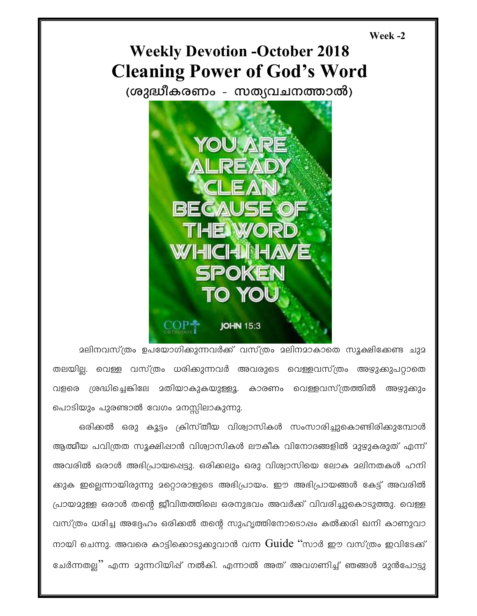## Week -2

## **Weekly Devotion -October 2018 Cleaning Power of God's Word**

(ശുദ്ധീകരണം - സത്യവചനത്താൽ)



ാലിനവസ്ത്രം ഉപയോഗിക്കുന്നവർക്ക് വസ്ത്രം ാലിനമാകാതെ സൂക്ഷിക്കേണ്ട ചുമ തലയില്ല. വെള്ള വസ്ത്രം ധരിക്കുന്നവർ അവരുടെ വെള്ളവസ്ത്രം അഴുക്കുപറ്റാതെ വളരെ ശ്രദ്ധിച്ചെങ്കിലേ മതിയാകുകയുള്ളൂ. കാരണം വെള്ളവസ്ത്രത്തിൽ അഴുക്കും പൊടിയും പുരണ്ടാൽ വേഗം മനസ്സിലാകുന്നു.

ഒരിക്കൽ ഒരു കൂട്ടം ക്രിസ്തീയ വിശ്വാസികൾ സംസാരിച്ചുകൊണ്ടിരിക്കുമ്പോൾ ആത്മീയ പവിത്രത സൂക്ഷിഷാൻ വിശ്വാസികൾ ലൗകീക വിനോദങ്ങളിൽ മുഴുകരുത് എന്ന് അവരിൽ ഒരാൾ അഭിപ്രായപ്പെട്ടു. ഒരിക്കലും ഒരു വിശ്വാസിയെ ലോക മലിനതകൾ ഹനി ക്കുക ഇല്ലെന്നായിരുന്നു മറ്റൊരാളുടെ അഭിപ്രായം. ഈ അഭിപ്രായങ്ങൾ കേട്ട് അവരിൽ പ്രായമുള്ള ഒരാൾ തന്റെ ജീവിതത്തിലെ ഒരനുഭവം അവർക്ക് വിവരിച്ചുകൊടുത്തു. വെള്ള വസ്ത്രം ധരിച്ച അദ്ദേഹം ഒരിക്കൽ തന്റെ സുഹൃത്തിനോടൊപ്പം കൽക്കരി ഖനി കാണുവാ നായി ചെന്നു. അവരെ കാട്ടിക്കൊടുക്കുവാൻ വന്ന  $\operatorname{Guide}$  "സാർ ഈ വസ്ത്രം ഇവിടേക്ക് ഭചർന്നതല്ല്' എന്ന മുന്നറിയിപ്പ് നൽകി. എന്നാൽ അത് അവഗണിച്ച് ഞങ്ങൾ മുൻപോട്ടു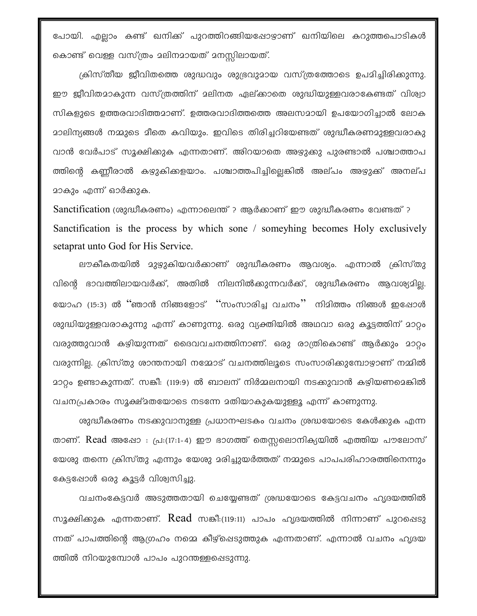പോയി. എല്ലാം കണ്ട് ഖനിക്ക് പുറത്തിറങ്ങിയപ്പോഴാണ് ഖനിയിലെ കറുത്തപൊടികൾ കൊണ്ട് വെള്ള വസ്ത്രം മലിനമായത് മനസ്സിലായത്.

ക്രിസ്തീയ ജീവിതത്തെ ശുദ്ധവും ശുഭ്രവുമായ വസ്ത്രത്തോടെ ഉപമിച്ചിരിക്കുന്നു. ഈ ജീവിതമാകുന്ന വസ്ത്രത്തിന് മലിനത ഏല്ക്കാതെ ശുദ്ധിയുള്ളവരാകേണ്ടത് വിശ്വാ സികളുടെ ഉത്തരവാദിത്തമാണ്. ഉത്തരവാദിത്തത്തെ അലസമായി ഉപയോഗിച്ചാൽ ലോക മാലിന്യങ്ങൾ നമ്മുടെ മീതെ കവിയും. ഇവിടെ തിരിച്ചറിയേണ്ടത് ശുദ്ധീകരണമുള്ളവരാകു വാൻ വേർപാട് സൂക്ഷിക്കുക എന്നതാണ്. അിറയാതെ അഴ്യുക്കു പുരണ്ടാൽ പശ്ചാത്താപ ത്തിന്റെ കണ്ണീരാൽ കഴുകിക്കളയാം. പശ്ചാത്തപിച്ചില്ലെങ്കിൽ അല്പം അഴുക്ക് അനല്പ മാകും എന്ന് ഓർക്കുക.

Sanctification (ശുദ്ധീകരണം) എന്നാലെന്ത് ? ആർക്കാണ് ഈ ശുദ്ധീകരണം വേണ്ടത് ? Sanctification is the process by which sone / someyhing becomes Holy exclusively setaprat unto God for His Service.

ലൗകീകതയിൽ മുഴുകിയവർക്കാണ് ശുദ്ധീകരണം ആവശ്യം. എന്നാൽ ക്രിസ്തു വിന്റെ ഭാവത്തിലായവർക്ക്, അതിൽ നിലനിൽക്കുന്നവർക്ക്, ശുദ്ധീകരണം ആവശ്യമില്ല. യോഹ (15:3) ൽ "ഞാൻ നിങ്ങളോട് "സംസാരിച്ച വചനം" നിമിത്തം നിങ്ങൾ ഇപ്പോൾ ശുദ്ധിയുള്ളവരാകുന്നു എന്ന് കാണുന്നു. ഒരു വ്യക്തിയിൽ അഥവാ ഒരു കൂട്ടത്തിന് മാറ്റം വരുത്തുവാൻ കഴിയുന്നത് ദൈവവചനത്തിനാണ്. ഒരു രാത്രികൊണ്ട് ആർക്കും മാറ്റം വരുന്നില്ല. ക്രിസ്തു ശാന്തനായി നമ്മോട് വചനത്തിലൂടെ സംസാരിക്കുമ്പോഴാണ് നമ്മിൽ <u>മാറ്റം ഉണ്ടാകുന്നത്. സങ്കീ: (119:9) ൽ ബാലന് നിർമ്മലനായി നടക്കുവാൻ കഴിയണമെങ്കിൽ </u> വചനപ്രകാരം സൂക്ഷ്മതയോടെ നടന്നേ മതിയാകുകയുള്ളൂ എന്ന് കാണുന്നു.

ശുദ്ധീകരണം നടക്കുവാനുള്ള പ്രധാനഘടകം വചനം ശ്രദ്ധയോടെ കേൾക്കുക എന്ന താണ്. Read അഷോ : പ്ര:(17:1-4) ഈ ഭാഗത്ത് തെസ്സലൊനിക്യയിൽ എത്തിയ പൗലോസ് യേശു തന്നെ ക്രിസ്തു എന്നും യേശു മരിച്ചുയർത്തത് നമ്മുടെ പാപപരിഹാരത്തിനെന്നും കേട്ടപ്പോൾ ഒരു കൂട്ടർ വിശ്വസിച്ചു.

വചനംകേട്ടവർ അടുത്തതായി ചെയ്യേണ്ടത് ശ്രദ്ധയോടെ കേട്ടവചനം ഹൃദയത്തിൽ സൂക്ഷിക്കുക എന്നതാണ്.  $Read$  സങ്കീ:(119:11) പാപം ഹൃദയത്തിൽ നിന്നാണ് പുറപ്പെടു ന്നത് പാപത്തിന്റെ ആഗ്രഹം നമ്മെ കീഴ്പ്പെടുത്തുക എന്നതാണ്. എന്നാൽ വചനം ഹൃദയ ത്തിൽ നിറയുമ്പോൾ പാപം പുറന്തള്ളപ്പെടുന്നു.